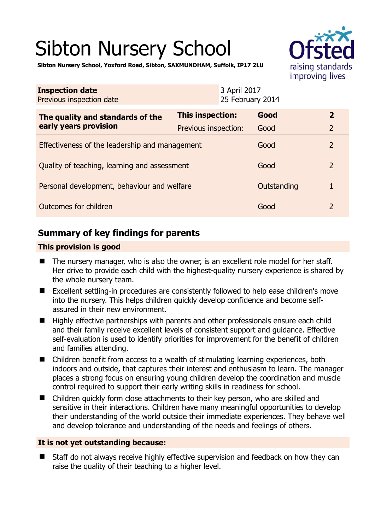# Sibton Nursery School



**Sibton Nursery School, Yoxford Road, Sibton, SAXMUNDHAM, Suffolk, IP17 2LU** 

| <b>Inspection date</b><br>Previous inspection date        | 3 April 2017<br>25 February 2014 |  |             |                         |
|-----------------------------------------------------------|----------------------------------|--|-------------|-------------------------|
| The quality and standards of the<br>early years provision | This inspection:                 |  | Good        | $\overline{\mathbf{2}}$ |
|                                                           | Previous inspection:             |  | Good        | $\overline{2}$          |
| Effectiveness of the leadership and management            |                                  |  | Good        | $\overline{2}$          |
| Quality of teaching, learning and assessment              |                                  |  | Good        | $\overline{2}$          |
| Personal development, behaviour and welfare               |                                  |  | Outstanding | 1                       |
| Outcomes for children                                     |                                  |  | Good        | 2                       |

# **Summary of key findings for parents**

#### **This provision is good**

- The nursery manager, who is also the owner, is an excellent role model for her staff. Her drive to provide each child with the highest-quality nursery experience is shared by the whole nursery team.
- Excellent settling-in procedures are consistently followed to help ease children's move into the nursery. This helps children quickly develop confidence and become selfassured in their new environment.
- $\blacksquare$  Highly effective partnerships with parents and other professionals ensure each child and their family receive excellent levels of consistent support and guidance. Effective self-evaluation is used to identify priorities for improvement for the benefit of children and families attending.
- Children benefit from access to a wealth of stimulating learning experiences, both indoors and outside, that captures their interest and enthusiasm to learn. The manager places a strong focus on ensuring young children develop the coordination and muscle control required to support their early writing skills in readiness for school.
- Children quickly form close attachments to their key person, who are skilled and sensitive in their interactions. Children have many meaningful opportunities to develop their understanding of the world outside their immediate experiences. They behave well and develop tolerance and understanding of the needs and feelings of others.

#### **It is not yet outstanding because:**

■ Staff do not always receive highly effective supervision and feedback on how they can raise the quality of their teaching to a higher level.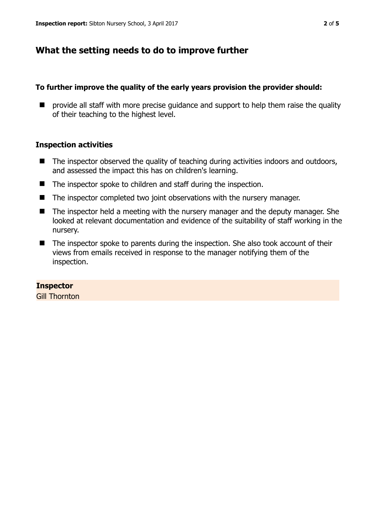### **What the setting needs to do to improve further**

#### **To further improve the quality of the early years provision the provider should:**

 $\blacksquare$  provide all staff with more precise guidance and support to help them raise the quality of their teaching to the highest level.

#### **Inspection activities**

- $\blacksquare$  The inspector observed the quality of teaching during activities indoors and outdoors, and assessed the impact this has on children's learning.
- The inspector spoke to children and staff during the inspection.
- The inspector completed two joint observations with the nursery manager.
- The inspector held a meeting with the nursery manager and the deputy manager. She looked at relevant documentation and evidence of the suitability of staff working in the nursery.
- The inspector spoke to parents during the inspection. She also took account of their views from emails received in response to the manager notifying them of the inspection.

#### **Inspector**

Gill Thornton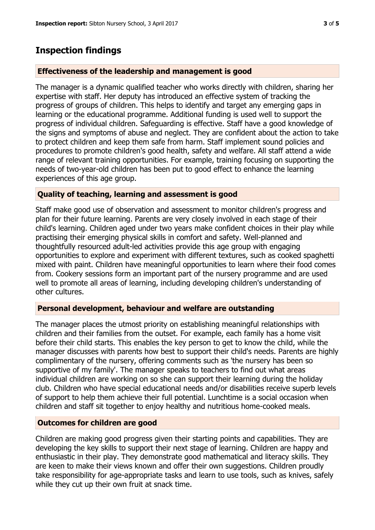## **Inspection findings**

#### **Effectiveness of the leadership and management is good**

The manager is a dynamic qualified teacher who works directly with children, sharing her expertise with staff. Her deputy has introduced an effective system of tracking the progress of groups of children. This helps to identify and target any emerging gaps in learning or the educational programme. Additional funding is used well to support the progress of individual children. Safeguarding is effective. Staff have a good knowledge of the signs and symptoms of abuse and neglect. They are confident about the action to take to protect children and keep them safe from harm. Staff implement sound policies and procedures to promote children's good health, safety and welfare. All staff attend a wide range of relevant training opportunities. For example, training focusing on supporting the needs of two-year-old children has been put to good effect to enhance the learning experiences of this age group.

#### **Quality of teaching, learning and assessment is good**

Staff make good use of observation and assessment to monitor children's progress and plan for their future learning. Parents are very closely involved in each stage of their child's learning. Children aged under two years make confident choices in their play while practising their emerging physical skills in comfort and safety. Well-planned and thoughtfully resourced adult-led activities provide this age group with engaging opportunities to explore and experiment with different textures, such as cooked spaghetti mixed with paint. Children have meaningful opportunities to learn where their food comes from. Cookery sessions form an important part of the nursery programme and are used well to promote all areas of learning, including developing children's understanding of other cultures.

#### **Personal development, behaviour and welfare are outstanding**

The manager places the utmost priority on establishing meaningful relationships with children and their families from the outset. For example, each family has a home visit before their child starts. This enables the key person to get to know the child, while the manager discusses with parents how best to support their child's needs. Parents are highly complimentary of the nursery, offering comments such as 'the nursery has been so supportive of my family'. The manager speaks to teachers to find out what areas individual children are working on so she can support their learning during the holiday club. Children who have special educational needs and/or disabilities receive superb levels of support to help them achieve their full potential. Lunchtime is a social occasion when children and staff sit together to enjoy healthy and nutritious home-cooked meals.

#### **Outcomes for children are good**

Children are making good progress given their starting points and capabilities. They are developing the key skills to support their next stage of learning. Children are happy and enthusiastic in their play. They demonstrate good mathematical and literacy skills. They are keen to make their views known and offer their own suggestions. Children proudly take responsibility for age-appropriate tasks and learn to use tools, such as knives, safely while they cut up their own fruit at snack time.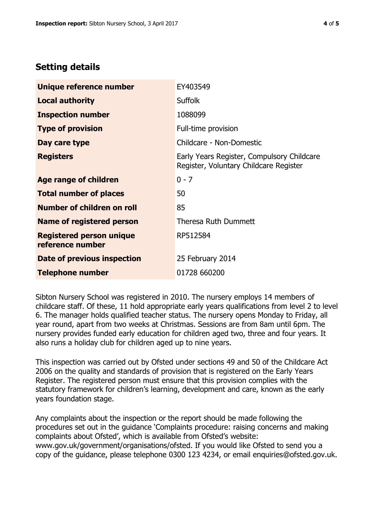# **Setting details**

| Unique reference number                             | EY403549                                                                             |  |
|-----------------------------------------------------|--------------------------------------------------------------------------------------|--|
| <b>Local authority</b>                              | <b>Suffolk</b>                                                                       |  |
| <b>Inspection number</b>                            | 1088099                                                                              |  |
| <b>Type of provision</b>                            | Full-time provision                                                                  |  |
| Day care type                                       | Childcare - Non-Domestic                                                             |  |
| <b>Registers</b>                                    | Early Years Register, Compulsory Childcare<br>Register, Voluntary Childcare Register |  |
| Age range of children                               | $0 - 7$                                                                              |  |
| <b>Total number of places</b>                       | 50                                                                                   |  |
| Number of children on roll                          | 85                                                                                   |  |
| Name of registered person                           | <b>Theresa Ruth Dummett</b>                                                          |  |
| <b>Registered person unique</b><br>reference number | RP512584                                                                             |  |
| Date of previous inspection                         | 25 February 2014                                                                     |  |
| Telephone number                                    | 01728 660200                                                                         |  |

Sibton Nursery School was registered in 2010. The nursery employs 14 members of childcare staff. Of these, 11 hold appropriate early years qualifications from level 2 to level 6. The manager holds qualified teacher status. The nursery opens Monday to Friday, all year round, apart from two weeks at Christmas. Sessions are from 8am until 6pm. The nursery provides funded early education for children aged two, three and four years. It also runs a holiday club for children aged up to nine years.

This inspection was carried out by Ofsted under sections 49 and 50 of the Childcare Act 2006 on the quality and standards of provision that is registered on the Early Years Register. The registered person must ensure that this provision complies with the statutory framework for children's learning, development and care, known as the early years foundation stage.

Any complaints about the inspection or the report should be made following the procedures set out in the guidance 'Complaints procedure: raising concerns and making complaints about Ofsted', which is available from Ofsted's website: www.gov.uk/government/organisations/ofsted. If you would like Ofsted to send you a copy of the guidance, please telephone 0300 123 4234, or email enquiries@ofsted.gov.uk.